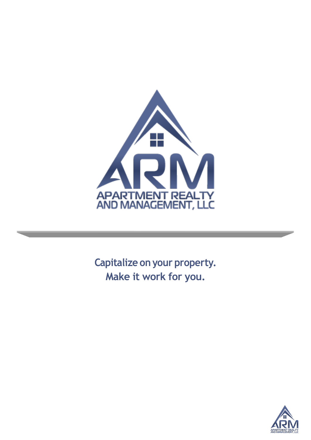

**Capitalize on your property. Make it work for you.**

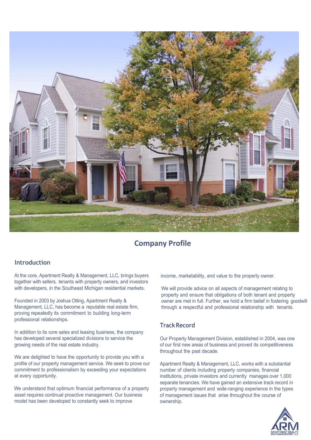

# **Company Profile**

## **Introduction**

At the core, Apartment Realty & Management, LLC, brings buyers together with sellers, tenants with property owners, and investors with developers, in the Southeast Michigan residential markets.

Founded in 2003 by Joshua Otting, Apartment Realty & Management, LLC, has become a reputable real estate firm, proving repeatedly its commitment to building long-term professional relationships.

In addition to its core sales and leasing business, the company has developed several specialized divisions to service the growing needs of the real estate industry.

We are delighted to have the opportunity to provide you with a profile of our property management service. We seek to prove our commitment to professionalism by exceeding your expectations at every opportunity.

We understand that optimum financial performance of a property asset requires continual proactive management. Our business model has been developed to constantly seek to improve

income, marketability, and value to the property owner.

We will provide advice on all aspects of management relating to property and ensure that obligations of both tenant and property owner are met in full. Further, we hold a firm belief in fostering goodwill through a respectful and professional relationship with tenants.

# **Track Record**

Our Property Management Division, established in 2004, was one of our first new areas of business and proved its competitiveness throughout the past decade.

Apartment Realty & Management, LLC, works with a substantial number of clients including property companies, financial institutions, private investors and currently manages over 1,000 separate tenancies. We have gained an extensive track record in property management and wide-ranging experience in the types of management issues that arise throughout the course of ownership.

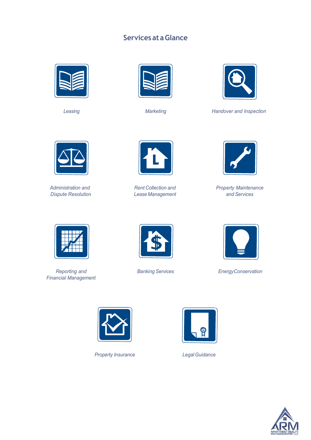# **ServicesataGlance**







*Leasing Marketing Handover and Inspection*



*Administration and Dispute Resolution*



*Rent Collection and LeaseManagement*



*Property Maintenance and Services*



*Reporting and Financial Management*





*Banking Services EnergyConservation*



*Property Insurance LegalGuidance*



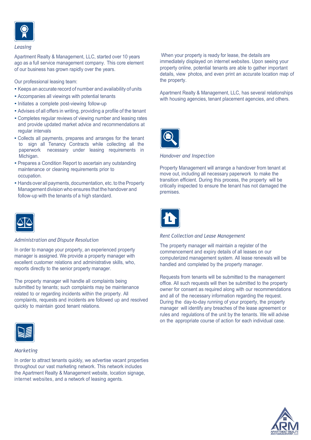

#### *Leasing*

Apartment Realty & Management, LLC, started over 10 years ago as a full service management company. This core element of our business has grown rapidly over the years.

Our professional leasing team:

- Keeps an accurate record of number and availability of units
- Accompanies all viewings with potential tenants
- Initiates a complete post-viewing follow-up
- Advises of all offers in writing, providing a profile of the tenant
- Completes regular reviews of viewing number and leasing rates and provide updated market advice and recommendations at regular intervals
- Collects all payments, prepares and arranges for the tenant to sign all Tenancy Contracts while collecting all the paperwork necessary under leasing requirements in Michigan.
- Prepares a Condition Report to ascertain any outstanding maintenance or cleaning requirements prior to occupation.
- Hands over all payments, documentation, etc. to the Property Management divisionwho ensures that the handover and follow-up with the tenants of a high standard.



## *Administration and Dispute Resolution*

In order to manage your property, an experienced property manager is assigned. We provide a property manager with excellent customer relations and administrative skills, who, reports directly to the senior property manager.

The property manager will handle all complaints being submitted by tenants; such complaints may be maintenance related to or regarding incidents within the property. All complaints, requests and incidents are followed up and resolved quickly to maintain good tenant relations.



### *Marketing*

In order to attract tenants quickly, we advertise vacant properties throughout our vast marketing network. This network includes the Apartment Realty & Management website, location signage, internet websites, and a network of leasing agents.

When your property is ready for lease, the details are immediately displayed on internet websites. Upon seeing your property online, potential tenants are able to gather important details, view photos, and even print an accurate location map of the property.

Apartment Realty & Management, LLC, has several relationships with housing agencies, tenant placement agencies, and others.



#### *Handover and Inspection*

Property Management will arrange a handover from tenant at move out, including all necessary paperwork to make the transition efficient. During this process, the property will be critically inspected to ensure the tenant has not damaged the premises.



## *Rent Collection and Lease Management*

The property manager will maintain a register of the commencement and expiry details of all leases on our computerized management system. All lease renewals will be handled and completed by the property manager.

Requests from tenants will be submitted to the management office. All such requests will then be submitted to the property owner for consent as required along with our recommendations and all of the necessary information regarding the request. During the day-to-day running of your property, the property manager will identify any breaches of the lease agreement or rules and regulations of the unit by the tenants. We will advise on the appropriate course of action for each individual case.

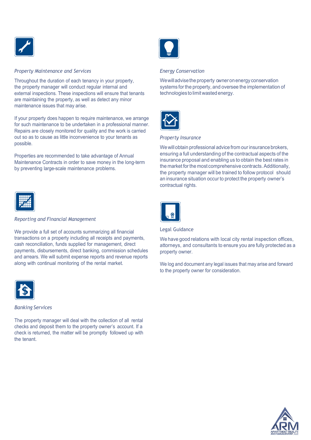

## *Property Maintenance and Services*

Throughout the duration of each tenancy in your property, the property manager will conduct regular internal and external inspections. These inspections will ensure that tenants are maintaining the property, as well as detect any minor maintenance issues that may arise.

If your property does happen to require maintenance, we arrange for such maintenance to be undertaken in a professional manner. Repairs are closely monitored for quality and the work is carried out so as to cause as little inconvenience to your tenants as possible.

Properties are recommended to take advantage of Annual Maintenance Contracts in order to save money in the long-term by preventing large-scale maintenance problems.



## *Energy Conservation*

We will advise the property owner on energy conservation systems for the property, and oversee the implementation of technologiesto limitwasted energy.



#### *Property Insurance*

We will obtain professional advice from our insurance brokers, ensuring a full understanding of the contractual aspects of the insurance proposal and enabling us to obtain the best rates in the market for the most comprehensive contracts. Additionally, the property manager will be trained to follow protocol should an insurance situation occur to protect the property owner's contractual rights.



### *Reporting and Financial Management*

We provide a full set of accounts summarizing all financial transactions on a property including all receipts and payments, cash reconciliation, funds supplied for management, direct payments, disbursements, direct banking, commission schedules and arrears. We will submit expense reports and revenue reports along with continual monitoring of the rental market.



#### *Banking Services*

The property manager will deal with the collection of all rental checks and deposit them to the property owner's account. If a check is returned, the matter will be promptly followed up with the tenant.



## Legal Guidance

We have good relations with local city rental inspection offices, attorneys, and consultants to ensure you are fully protected as a property owner.

We log and document any legal issues that may arise and forward to the property owner for consideration.